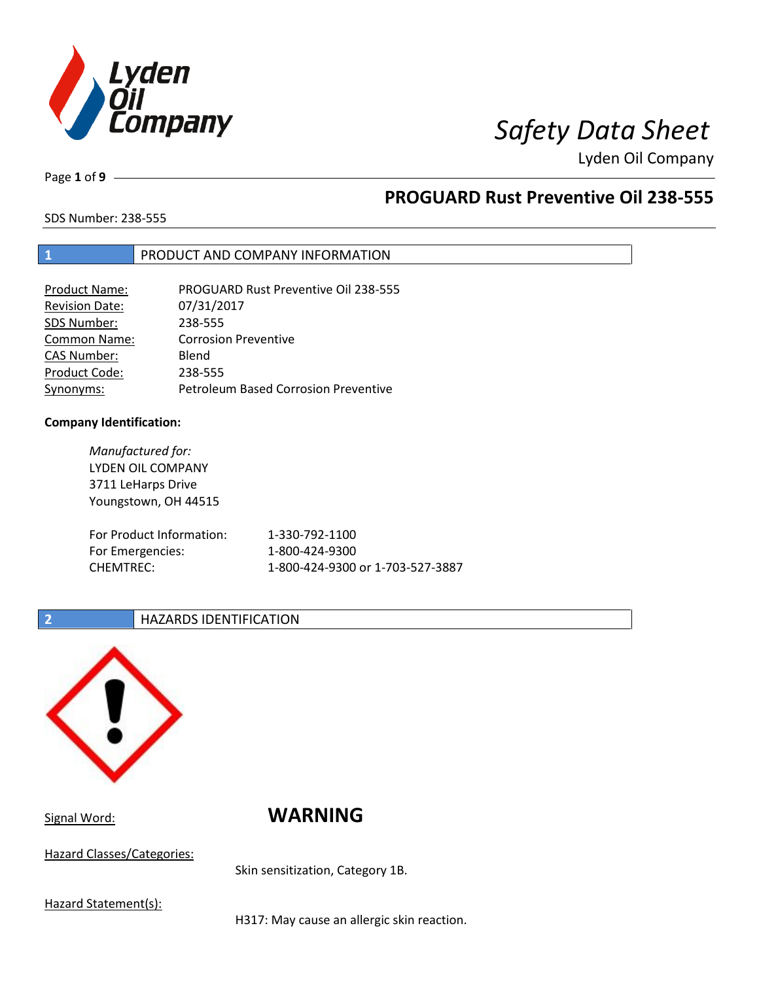

Page **1** of **9**

## **PROGUARD Rust Preventive Oil 238-555**

SDS Number: 238-555

### **1** PRODUCT AND COMPANY INFORMATION

| <b>Product Name:</b>  | <b>PROGUARD Rust Preventive Oil 238-555</b> |
|-----------------------|---------------------------------------------|
| <b>Revision Date:</b> | 07/31/2017                                  |
| SDS Number:           | 238-555                                     |
| Common Name:          | <b>Corrosion Preventive</b>                 |
| <b>CAS Number:</b>    | Blend                                       |
| Product Code:         | 238-555                                     |
| Synonyms:             | <b>Petroleum Based Corrosion Preventive</b> |

### **Company Identification:**

*Manufactured for:* LYDEN OIL COMPANY 3711 LeHarps Drive Youngstown, OH 44515 For Product Information: 1-330-792-1100 For Emergencies: 1-800-424-9300 CHEMTREC: 1-800-424-9300 or 1-703-527-3887

### **2 HAZARDS IDENTIFICATION**



Hazard Classes/Categories:

Signal Word: **WARNING**

Skin sensitization, Category 1B.

Hazard Statement(s):

H317: May cause an allergic skin reaction.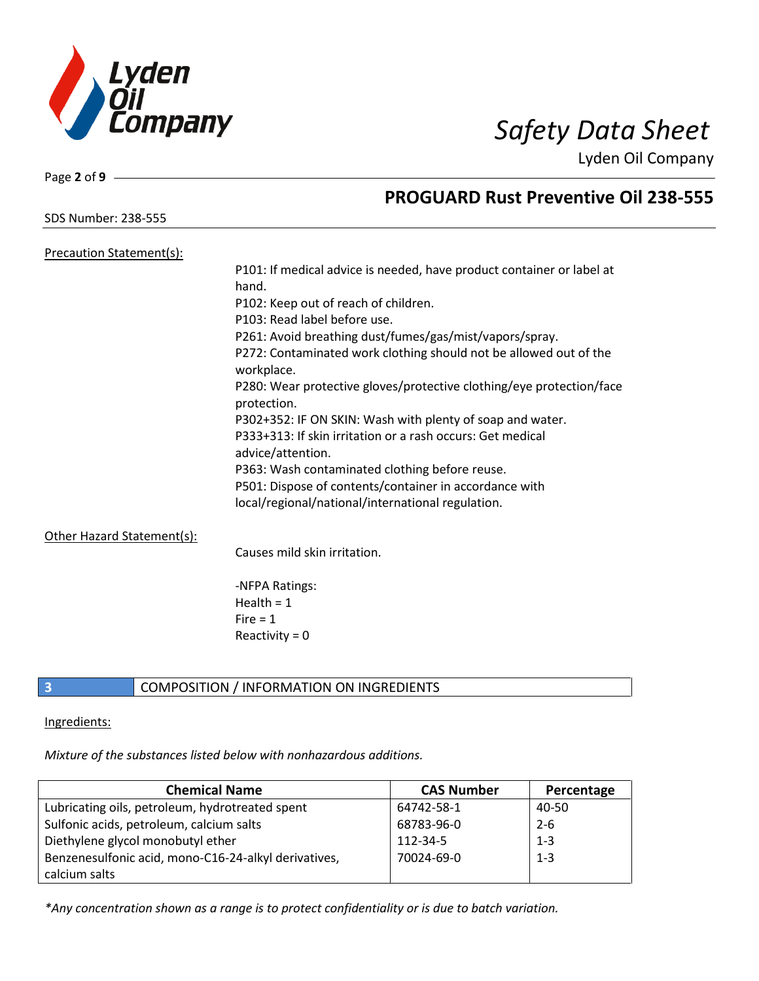

Page **2** of **9**

## **PROGUARD Rust Preventive Oil 238-555**

SDS Number: 238-555

| <b>Precaution Statement(s):</b> |                                                                                     |
|---------------------------------|-------------------------------------------------------------------------------------|
|                                 | P101: If medical advice is needed, have product container or label at               |
|                                 | hand.                                                                               |
|                                 | P102: Keep out of reach of children.                                                |
|                                 | P103: Read label before use.                                                        |
|                                 | P261: Avoid breathing dust/fumes/gas/mist/vapors/spray.                             |
|                                 | P272: Contaminated work clothing should not be allowed out of the<br>workplace.     |
|                                 | P280: Wear protective gloves/protective clothing/eye protection/face<br>protection. |
|                                 | P302+352: IF ON SKIN: Wash with plenty of soap and water.                           |
|                                 | P333+313: If skin irritation or a rash occurs: Get medical<br>advice/attention.     |
|                                 | P363: Wash contaminated clothing before reuse.                                      |
|                                 | P501: Dispose of contents/container in accordance with                              |
|                                 | local/regional/national/international regulation.                                   |
| Other Hazard Statement(s):      |                                                                                     |
|                                 | Causes mild skin irritation.                                                        |

-NFPA Ratings: Health  $= 1$  $Fire = 1$ Reactivity  $= 0$ 

### **3** COMPOSITION / INFORMATION ON INGREDIENTS

### Ingredients:

*Mixture of the substances listed below with nonhazardous additions.*

| <b>Chemical Name</b>                                 | <b>CAS Number</b> | Percentage |
|------------------------------------------------------|-------------------|------------|
| Lubricating oils, petroleum, hydrotreated spent      | 64742-58-1        | 40-50      |
| Sulfonic acids, petroleum, calcium salts             | 68783-96-0        | $2 - 6$    |
| Diethylene glycol monobutyl ether                    | 112-34-5          | $1 - 3$    |
| Benzenesulfonic acid, mono-C16-24-alkyl derivatives, | 70024-69-0        | $1 - 3$    |
| calcium salts                                        |                   |            |

*\*Any concentration shown as a range is to protect confidentiality or is due to batch variation.*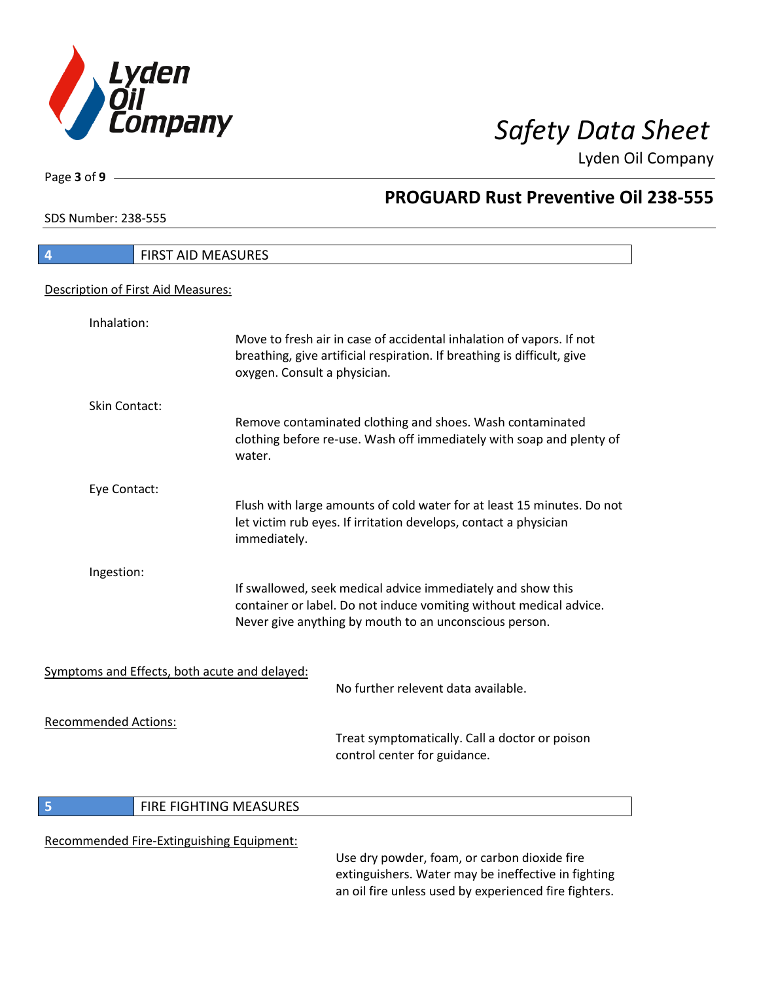

**PROGUARD Rust Preventive Oil 238-555**

Lyden Oil Company

SDS Number: 238-555

Page **3** of **9**

 $\overline{\phantom{a}}$ 

| 4                           | FIRST AID MEASURES                            |                                                                                                                                                                                             |
|-----------------------------|-----------------------------------------------|---------------------------------------------------------------------------------------------------------------------------------------------------------------------------------------------|
|                             | Description of First Aid Measures:            |                                                                                                                                                                                             |
|                             |                                               |                                                                                                                                                                                             |
| Inhalation:                 |                                               | Move to fresh air in case of accidental inhalation of vapors. If not<br>breathing, give artificial respiration. If breathing is difficult, give<br>oxygen. Consult a physician.             |
| Skin Contact:               |                                               |                                                                                                                                                                                             |
|                             |                                               | Remove contaminated clothing and shoes. Wash contaminated<br>clothing before re-use. Wash off immediately with soap and plenty of<br>water.                                                 |
| Eye Contact:                |                                               |                                                                                                                                                                                             |
|                             |                                               | Flush with large amounts of cold water for at least 15 minutes. Do not<br>let victim rub eyes. If irritation develops, contact a physician<br>immediately.                                  |
| Ingestion:                  |                                               | If swallowed, seek medical advice immediately and show this<br>container or label. Do not induce vomiting without medical advice.<br>Never give anything by mouth to an unconscious person. |
|                             | Symptoms and Effects, both acute and delayed: |                                                                                                                                                                                             |
|                             |                                               | No further relevent data available.                                                                                                                                                         |
| <b>Recommended Actions:</b> |                                               | Treat symptomatically. Call a doctor or poison<br>control center for guidance.                                                                                                              |
|                             |                                               |                                                                                                                                                                                             |
| 5                           | FIRE FIGHTING MEASURES                        |                                                                                                                                                                                             |
|                             | Recommended Fire-Extinguishing Equipment:     | Use dry powder, foam, or carbon dioxide fire                                                                                                                                                |

extinguishers. Water may be ineffective in fighting an oil fire unless used by experienced fire fighters.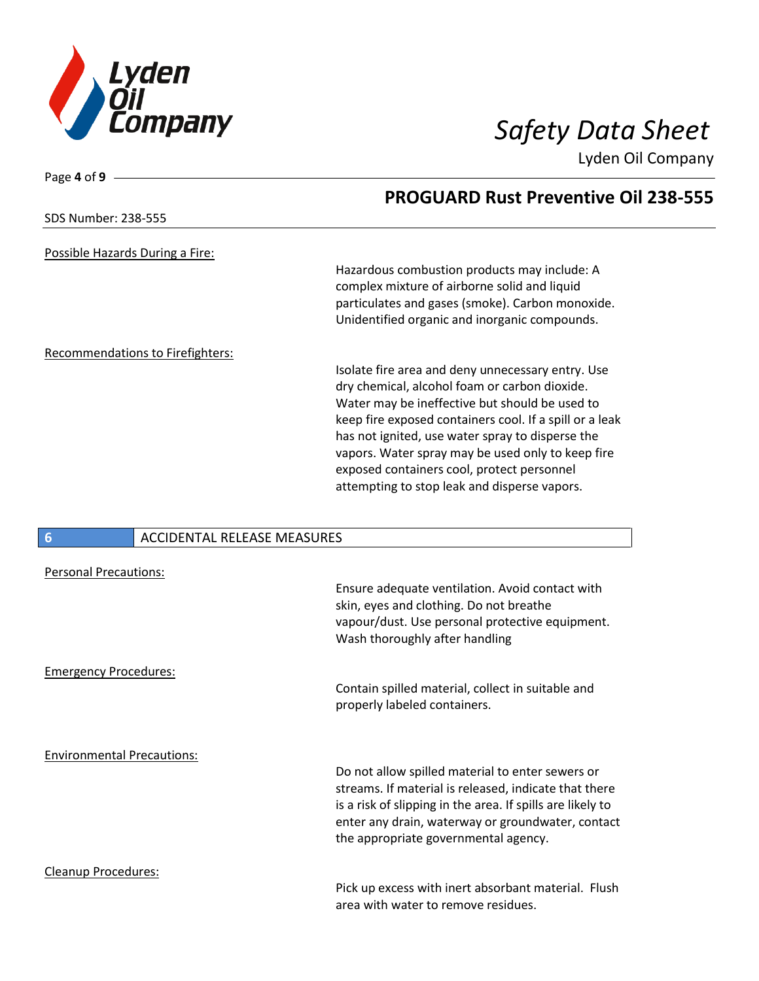

Page **4** of **9**

Lyden Oil Company

|                                         | <b>PROGUARD Rust Preventive Oil 238-555</b>             |
|-----------------------------------------|---------------------------------------------------------|
| SDS Number: 238-555                     |                                                         |
| Possible Hazards During a Fire:         |                                                         |
|                                         | Hazardous combustion products may include: A            |
|                                         | complex mixture of airborne solid and liquid            |
|                                         | particulates and gases (smoke). Carbon monoxide.        |
|                                         | Unidentified organic and inorganic compounds.           |
| <b>Recommendations to Firefighters:</b> |                                                         |
|                                         | Isolate fire area and deny unnecessary entry. Use       |
|                                         | dry chemical, alcohol foam or carbon dioxide.           |
|                                         | Water may be ineffective but should be used to          |
|                                         | keep fire exposed containers cool. If a spill or a leak |
|                                         | has not ignited, use water spray to disperse the        |
|                                         | vapors. Water spray may be used only to keep fire       |
|                                         | exposed containers cool, protect personnel              |
|                                         | attempting to stop leak and disperse vapors.            |
|                                         |                                                         |

### **6** ACCIDENTAL RELEASE MEASURES

| <b>Personal Precautions:</b>      |                                                                                                                                                                                                                                                                      |
|-----------------------------------|----------------------------------------------------------------------------------------------------------------------------------------------------------------------------------------------------------------------------------------------------------------------|
|                                   | Ensure adequate ventilation. Avoid contact with<br>skin, eyes and clothing. Do not breathe<br>vapour/dust. Use personal protective equipment.<br>Wash thoroughly after handling                                                                                      |
| <b>Emergency Procedures:</b>      |                                                                                                                                                                                                                                                                      |
|                                   | Contain spilled material, collect in suitable and<br>properly labeled containers.                                                                                                                                                                                    |
| <b>Environmental Precautions:</b> |                                                                                                                                                                                                                                                                      |
|                                   | Do not allow spilled material to enter sewers or<br>streams. If material is released, indicate that there<br>is a risk of slipping in the area. If spills are likely to<br>enter any drain, waterway or groundwater, contact<br>the appropriate governmental agency. |
| Cleanup Procedures:               |                                                                                                                                                                                                                                                                      |
|                                   | Pick up excess with inert absorbant material. Flush<br>area with water to remove residues.                                                                                                                                                                           |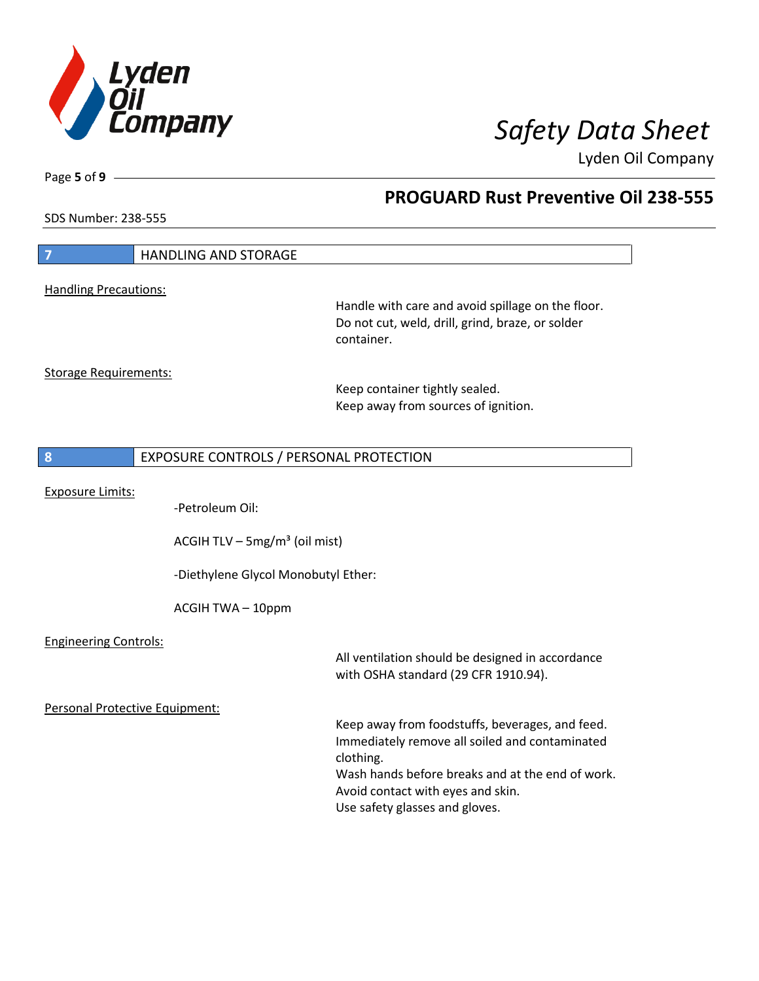

Page **5** of **9**

# **PROGUARD Rust Preventive Oil 238-555**

SDS Number: 238-555

| $\overline{7}$                 | <b>HANDLING AND STORAGE</b>                 |                                                                                                                                                                                                                                           |
|--------------------------------|---------------------------------------------|-------------------------------------------------------------------------------------------------------------------------------------------------------------------------------------------------------------------------------------------|
| <b>Handling Precautions:</b>   |                                             | Handle with care and avoid spillage on the floor.<br>Do not cut, weld, drill, grind, braze, or solder<br>container.                                                                                                                       |
| <b>Storage Requirements:</b>   |                                             | Keep container tightly sealed.<br>Keep away from sources of ignition.                                                                                                                                                                     |
| 8                              | EXPOSURE CONTROLS / PERSONAL PROTECTION     |                                                                                                                                                                                                                                           |
| <b>Exposure Limits:</b>        | -Petroleum Oil:                             |                                                                                                                                                                                                                                           |
|                                | ACGIH TLV $-$ 5mg/m <sup>3</sup> (oil mist) |                                                                                                                                                                                                                                           |
|                                | -Diethylene Glycol Monobutyl Ether:         |                                                                                                                                                                                                                                           |
|                                | ACGIH TWA - 10ppm                           |                                                                                                                                                                                                                                           |
| <b>Engineering Controls:</b>   |                                             | All ventilation should be designed in accordance<br>with OSHA standard (29 CFR 1910.94).                                                                                                                                                  |
| Personal Protective Equipment: |                                             | Keep away from foodstuffs, beverages, and feed.<br>Immediately remove all soiled and contaminated<br>clothing.<br>Wash hands before breaks and at the end of work.<br>Avoid contact with eyes and skin.<br>Use safety glasses and gloves. |
|                                |                                             |                                                                                                                                                                                                                                           |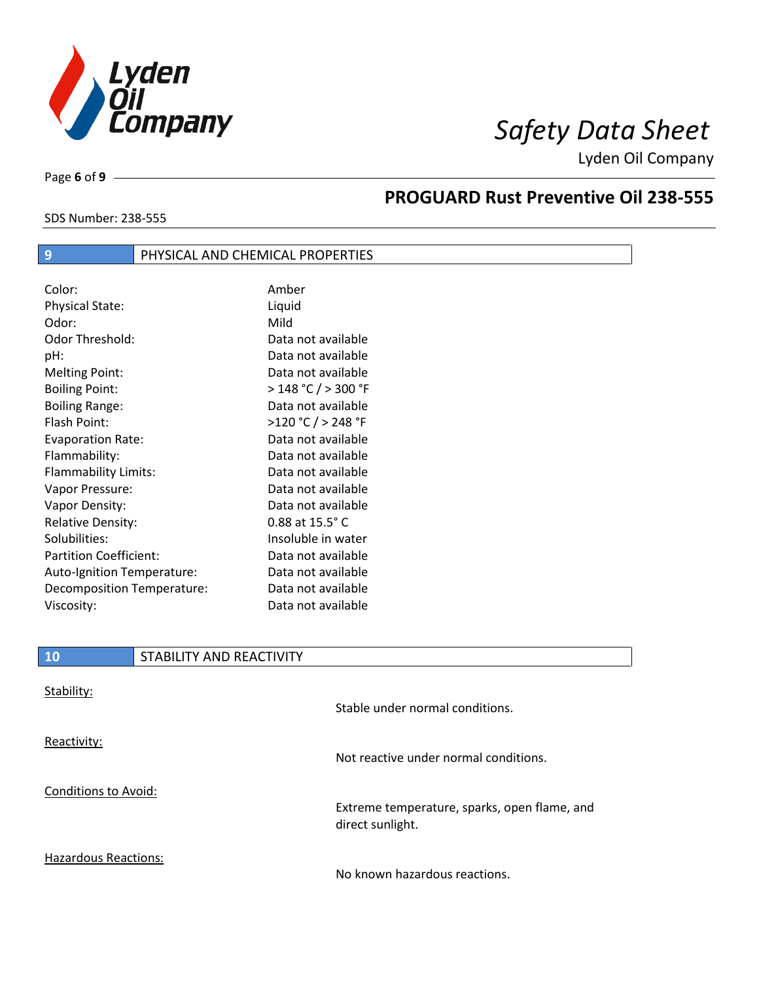

SDS Number: 238-555

Page **6** of **9**

# **PROGUARD Rust Preventive Oil 238-555**

| Color:                        | Amber                      |
|-------------------------------|----------------------------|
| Physical State:               | Liquid                     |
| Odor:                         | Mild                       |
| Odor Threshold:               | Data not available         |
| pH:                           | Data not available         |
| <b>Melting Point:</b>         | Data not available         |
| <b>Boiling Point:</b>         | > 148 °C / > 300 °F        |
| <b>Boiling Range:</b>         | Data not available         |
| Flash Point:                  | >120 °C / > 248 °F         |
| <b>Evaporation Rate:</b>      | Data not available         |
| Flammability:                 | Data not available         |
| Flammability Limits:          | Data not available         |
| Vapor Pressure:               | Data not available         |
| Vapor Density:                | Data not available         |
| <b>Relative Density:</b>      | $0.88$ at $15.5^{\circ}$ C |
| Solubilities:                 | Insoluble in water         |
| <b>Partition Coefficient:</b> | Data not available         |
| Auto-Ignition Temperature:    | Data not available         |
| Decomposition Temperature:    | Data not available         |
| Viscosity:                    | Data not available         |

**9 PHYSICAL AND CHEMICAL PROPERTIES** 

| 10 | STABILITY AND REACTIVITY |
|----|--------------------------|
|    |                          |

| Stability:                  | Stable under normal conditions.                                  |
|-----------------------------|------------------------------------------------------------------|
| Reactivity:                 | Not reactive under normal conditions.                            |
| Conditions to Avoid:        | Extreme temperature, sparks, open flame, and<br>direct sunlight. |
| <b>Hazardous Reactions:</b> | No known hazardous reactions.                                    |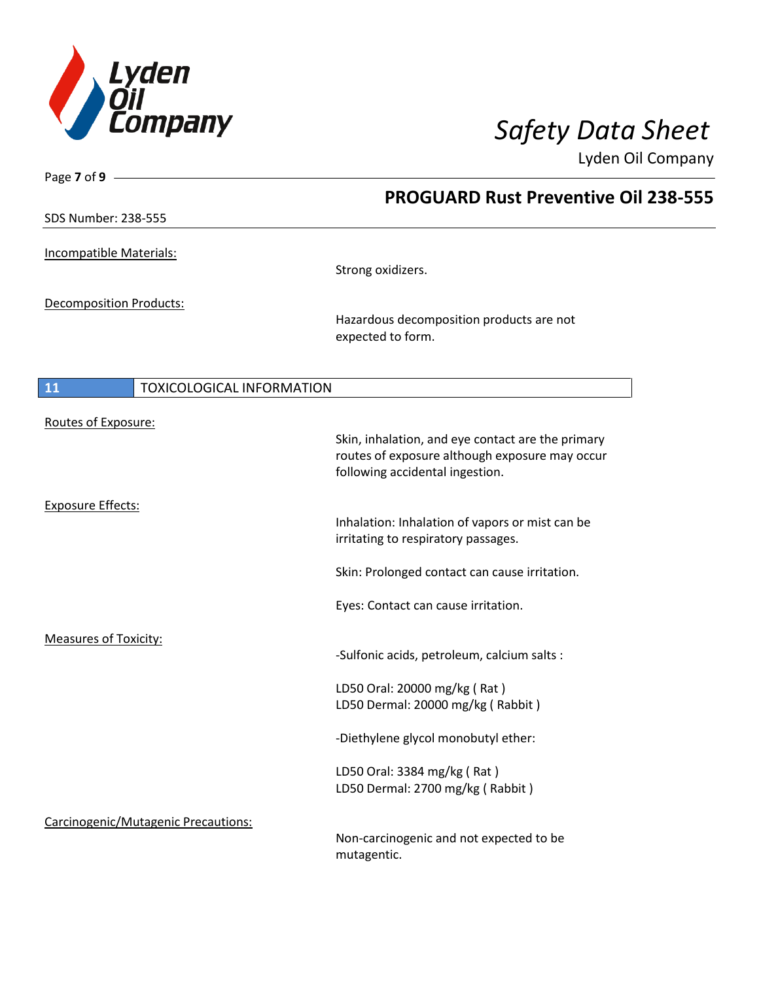

Page **7** of **9**

Lyden Oil Company

|                                        | <b>PROGUARD Rust Preventive Oil 238-555</b>                                                                                            |
|----------------------------------------|----------------------------------------------------------------------------------------------------------------------------------------|
| <b>SDS Number: 238-555</b>             |                                                                                                                                        |
| Incompatible Materials:                | Strong oxidizers.                                                                                                                      |
| Decomposition Products:                | Hazardous decomposition products are not<br>expected to form.                                                                          |
| 11<br><b>TOXICOLOGICAL INFORMATION</b> |                                                                                                                                        |
| Routes of Exposure:                    | Skin, inhalation, and eye contact are the primary<br>routes of exposure although exposure may occur<br>following accidental ingestion. |
| <b>Exposure Effects:</b>               | Inhalation: Inhalation of vapors or mist can be<br>irritating to respiratory passages.                                                 |
|                                        | Skin: Prolonged contact can cause irritation.                                                                                          |
|                                        | Eyes: Contact can cause irritation.                                                                                                    |
| <b>Measures of Toxicity:</b>           | -Sulfonic acids, petroleum, calcium salts :                                                                                            |
|                                        | LD50 Oral: 20000 mg/kg (Rat)<br>LD50 Dermal: 20000 mg/kg (Rabbit)                                                                      |
|                                        | -Diethylene glycol monobutyl ether:                                                                                                    |
|                                        | LD50 Oral: 3384 mg/kg (Rat)<br>LD50 Dermal: 2700 mg/kg (Rabbit)                                                                        |
| Carcinogenic/Mutagenic Precautions:    | Non-carcinogenic and not expected to be<br>mutagentic.                                                                                 |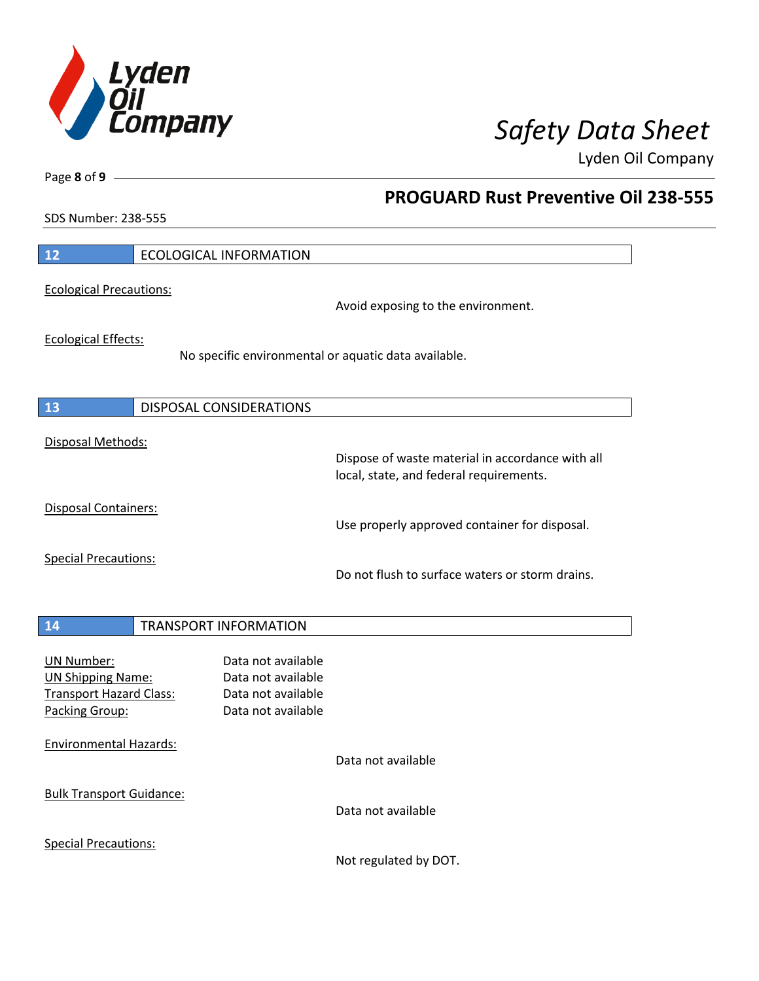

**PROGUARD Rust Preventive Oil 238-555**

Lyden Oil Company

SDS Number: 238-555

Page **8** of **9**

| 12                              | <b>ECOLOGICAL INFORMATION</b>                                                               |
|---------------------------------|---------------------------------------------------------------------------------------------|
| <b>Ecological Precautions:</b>  |                                                                                             |
|                                 | Avoid exposing to the environment.                                                          |
| <b>Ecological Effects:</b>      |                                                                                             |
|                                 | No specific environmental or aquatic data available.                                        |
|                                 |                                                                                             |
| 13                              | DISPOSAL CONSIDERATIONS                                                                     |
| Disposal Methods:               |                                                                                             |
|                                 | Dispose of waste material in accordance with all<br>local, state, and federal requirements. |
| Disposal Containers:            |                                                                                             |
|                                 | Use properly approved container for disposal.                                               |
| <b>Special Precautions:</b>     |                                                                                             |
|                                 | Do not flush to surface waters or storm drains.                                             |
|                                 |                                                                                             |
| 14                              | <b>TRANSPORT INFORMATION</b>                                                                |
| <b>UN Number:</b>               | Data not available                                                                          |
| <b>UN Shipping Name:</b>        | Data not available                                                                          |
| <b>Transport Hazard Class:</b>  | Data not available                                                                          |
| Packing Group:                  | Data not available                                                                          |
| <b>Environmental Hazards:</b>   |                                                                                             |
|                                 | Data not available                                                                          |
| <b>Bulk Transport Guidance:</b> |                                                                                             |
|                                 | Data not available                                                                          |
| <b>Special Precautions:</b>     |                                                                                             |

Not regulated by DOT.